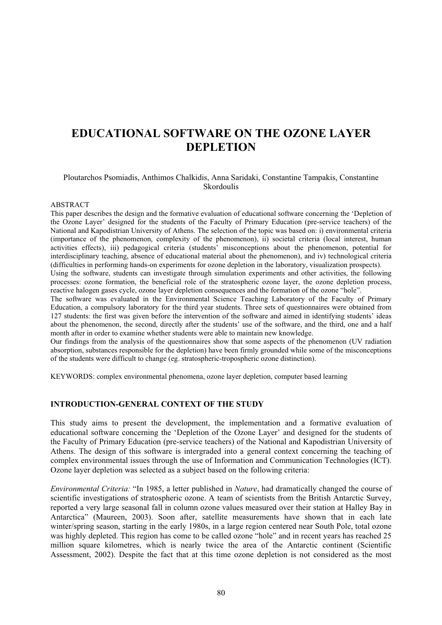# **EDUCATIONAL SOFTWARE ON THE OZONE LAYER DEPLETION**

#### Ploutarchos Psomiadis, Anthimos Chalkidis, Anna Saridaki, Constantine Tampakis, Constantine Skordoulis

#### ABSTRACT

This paper describes the design and the formative evaluation of educational software concerning the 'Depletion of the Ozone Layer' designed for the students of the Faculty of Primary Education (pre-service teachers) of the National and Kapodistrian University of Athens. The selection of the topic was based on: i) environmental criteria (importance of the phenomenon, complexity of the phenomenon), ii) societal criteria (local interest, human activities effects), iii) pedagogical criteria (students' misconceptions about the phenomenon, potential for interdisciplinary teaching, absence of educational material about the phenomenon), and iv) technological criteria (difficulties in performing hands-on experiments for ozone depletion in the laboratory, visualization prospects).

Using the software, students can investigate through simulation experiments and other activities, the following processes: ozone formation, the beneficial role of the stratospheric ozone layer, the ozone depletion process, reactive halogen gases cycle, ozone layer depletion consequences and the formation of the ozone "hole".

The software was evaluated in the Environmental Science Teaching Laboratory of the Faculty of Primary Education, a compulsory laboratory for the third year students. Three sets of questionnaires were obtained from 127 students: the first was given before the intervention of the software and aimed in identifying students' ideas about the phenomenon, the second, directly after the students' use of the software, and the third, one and a half month after in order to examine whether students were able to maintain new knowledge.

Our findings from the analysis of the questionnaires show that some aspects of the phenomenon (UV radiation absorption, substances responsible for the depletion) have been firmly grounded while some of the misconceptions of the students were difficult to change (eg. stratospheric-tropospheric ozone distinction).

KEYWORDS: complex environmental phenomena, ozone layer depletion, computer based learning

#### **INTRODUCTION-GENERAL CONTEXT OF THE STUDY**

This study aims to present the development, the implementation and a formative evaluation of educational software concerning the 'Depletion of the Ozone Layer' and designed for the students of the Faculty of Primary Education (pre-service teachers) of the National and Kapodistrian University of Athens. The design of this software is intergraded into a general context concerning the teaching of complex environmental issues through the use of Information and Communication Technologies (ICT). Ozone layer depletion was selected as a subject based on the following criteria:

*Environmental Criteria:* "In 1985, a letter published in *Nature*, had dramatically changed the course of scientific investigations of stratospheric ozone. A team of scientists from the British Antarctic Survey, reported a very large seasonal fall in column ozone values measured over their station at Halley Bay in Antarctica" (Maureen, 2003). Soon after, satellite measurements have shown that in each late winter/spring season, starting in the early 1980s, in a large region centered near South Pole, total ozone was highly depleted. This region has come to be called ozone "hole" and in recent years has reached 25 million square kilometres, which is nearly twice the area of the Antarctic continent (Scientific Assessment, 2002). Despite the fact that at this time ozone depletion is not considered as the most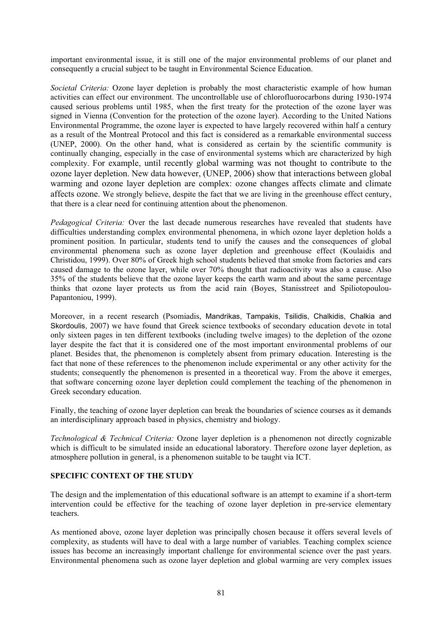important environmental issue, it is still one of the major environmental problems of our planet and consequently a crucial subject to be taught in Environmental Science Education.

*Societal Criteria:* Ozone layer depletion is probably the most characteristic example of how human activities can effect our environment. The uncontrollable use of chlorofluorocarbons during 1930-1974 caused serious problems until 1985, when the first treaty for the protection of the ozone layer was signed in Vienna (Convention for the protection of the ozone layer). According to the United Nations Environmental Programme, the ozone layer is expected to have largely recovered within half a century as a result of the Montreal Protocol and this fact is considered as a remarkable environmental success (UNEP, 2000). On the other hand, what is considered as certain by the scientific community is continually changing, especially in the case of environmental systems which are characterized by high complexity. For example, until recently global warming was not thought to contribute to the ozone layer depletion. New data however, (UNEP, 2006) show that interactions between global warming and ozone layer depletion are complex: ozone changes affects climate and climate affects ozone. We strongly believe, despite the fact that we are living in the greenhouse effect century, that there is a clear need for continuing attention about the phenomenon.

*Pedagogical Criteria:* Over the last decade numerous researches have revealed that students have difficulties understanding complex environmental phenomena, in which ozone layer depletion holds a prominent position. In particular, students tend to unify the causes and the consequences of global environmental phenomena such as ozone layer depletion and greenhouse effect (Koulaidis and Christidou, 1999). Over 80% of Greek high school students believed that smoke from factories and cars caused damage to the ozone layer, while over 70% thought that radioactivity was also a cause. Also 35% of the students believe that the ozone layer keeps the earth warm and about the same percentage thinks that ozone layer protects us from the acid rain (Boyes, Stanisstreet and Spiliotopoulou-Papantoniou, 1999).

Moreover, in a recent research (Psomiadis, Mandrikas, Tampakis, Tsilidis, Chalkidis, Chalkia and Skordoulis, 2007) we have found that Greek science textbooks of secondary education devote in total only sixteen pages in ten different textbooks (including twelve images) to the depletion of the ozone layer despite the fact that it is considered one of the most important environmental problems of our planet. Besides that, the phenomenon is completely absent from primary education. Interesting is the fact that none of these references to the phenomenon include experimental or any other activity for the students; consequently the phenomenon is presented in a theoretical way. From the above it emerges, that software concerning ozone layer depletion could complement the teaching of the phenomenon in Greek secondary education.

Finally, the teaching of ozone layer depletion can break the boundaries of science courses as it demands an interdisciplinary approach based in physics, chemistry and biology.

*Technological & Technical Criteria:* Ozone layer depletion is a phenomenon not directly cognizable which is difficult to be simulated inside an educational laboratory. Therefore ozone layer depletion, as atmosphere pollution in general, is a phenomenon suitable to be taught via ICT.

# **SPECIFIC CONTEXT OF THE STUDY**

The design and the implementation of this educational software is an attempt to examine if a short-term intervention could be effective for the teaching of ozone layer depletion in pre-service elementary teachers.

As mentioned above, ozone layer depletion was principally chosen because it offers several levels of complexity, as students will have to deal with a large number of variables. Teaching complex science issues has become an increasingly important challenge for environmental science over the past years. Environmental phenomena such as ozone layer depletion and global warming are very complex issues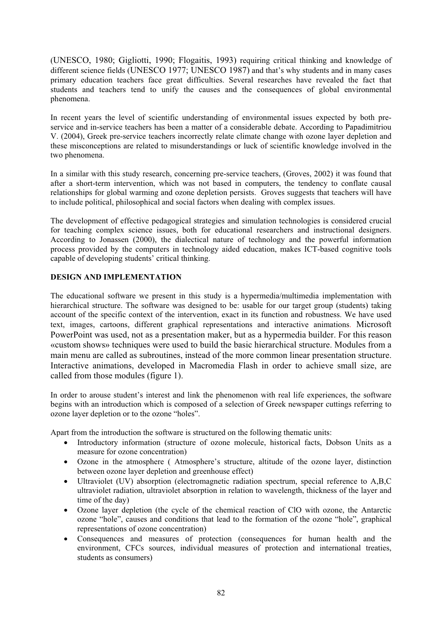(UNESCO, 1980; Gigliotti, 1990; Flogaitis, 1993) requiring critical thinking and knowledge of different science fields (UNESCO 1977; UNESCO 1987) and that's why students and in many cases primary education teachers face great difficulties. Several researches have revealed the fact that students and teachers tend to unify the causes and the consequences of global environmental phenomena.

In recent years the level of scientific understanding of environmental issues expected by both preservice and in-service teachers has been a matter of a considerable debate. According to Papadimitriou V. (2004), Greek pre-service teachers incorrectly relate climate change with ozone layer depletion and these misconceptions are related to misunderstandings or luck of scientific knowledge involved in the two phenomena.

In a similar with this study research, concerning pre-service teachers, (Groves, 2002) it was found that after a short-term intervention, which was not based in computers, the tendency to conflate causal relationships for global warming and ozone depletion persists. Groves suggests that teachers will have to include political, philosophical and social factors when dealing with complex issues.

The development of effective pedagogical strategies and simulation technologies is considered crucial for teaching complex science issues, both for educational researchers and instructional designers. According to Jonassen (2000), the dialectical nature of technology and the powerful information process provided by the computers in technology aided education, makes ICT-based cognitive tools capable of developing students' critical thinking.

# **DESIGN AND IMPLEMENTATION**

The educational software we present in this study is a hypermedia/multimedia implementation with hierarchical structure. The software was designed to be: usable for our target group (students) taking account of the specific context of the intervention, exact in its function and robustness. We have used text, images, cartoons, different graphical representations and interactive animations. Microsoft PowerPoint was used, not as a presentation maker, but as a hypermedia builder. For this reason «custom shows» techniques were used to build the basic hierarchical structure. Modules from a main menu are called as subroutines, instead of the more common linear presentation structure. Interactive animations, developed in Macromedia Flash in order to achieve small size, are called from those modules (figure 1).

In order to arouse student's interest and link the phenomenon with real life experiences, the software begins with an introduction which is composed of a selection of Greek newspaper cuttings referring to ozone layer depletion or to the ozone "holes".

Apart from the introduction the software is structured on the following thematic units:

- $\bullet$  Introductory information (structure of ozone molecule, historical facts, Dobson Units as a measure for ozone concentration)
- Ozone in the atmosphere ( Atmosphere's structure, altitude of the ozone layer, distinction between ozone layer depletion and greenhouse effect)
- $\bullet$  Ultraviolet (UV) absorption (electromagnetic radiation spectrum, special reference to A,B,C ultraviolet radiation, ultraviolet absorption in relation to wavelength, thickness of the layer and time of the day)
- $\bullet$  Ozone layer depletion (the cycle of the chemical reaction of ClO with ozone, the Antarctic ozone "hole", causes and conditions that lead to the formation of the ozone "hole", graphical representations of ozone concentration)
- - Consequences and measures of protection (consequences for human health and the environment, CFCs sources, individual measures of protection and international treaties, students as consumers)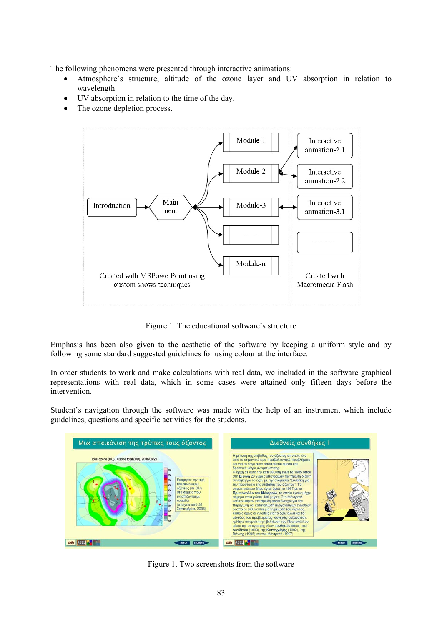The following phenomena were presented through interactive animations:

- $\bullet$  Atmosphere's structure, altitude of the ozone layer and UV absorption in relation to wavelength.
- -UV absorption in relation to the time of the day.
- $\bullet$ The ozone depletion process.



Figure 1. The educational software's structure

Emphasis has been also given to the aesthetic of the software by keeping a uniform style and by following some standard suggested guidelines for using colour at the interface.

In order students to work and make calculations with real data, we included in the software graphical representations with real data, which in some cases were attained only fifteen days before the intervention.

Student's navigation through the software was made with the help of an instrument which include guidelines, questions and specific activities for the students.



Figure 1. Two screenshots from the software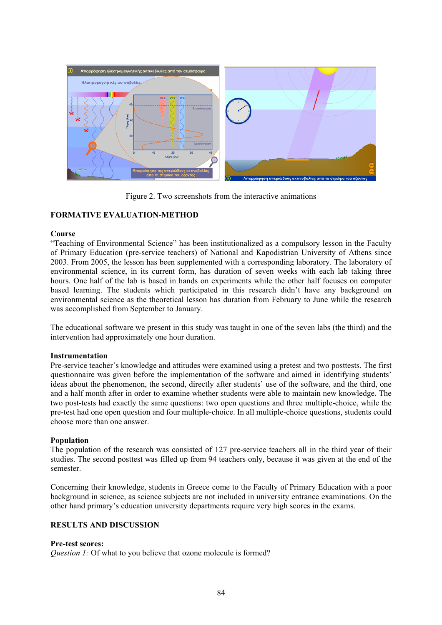

Figure 2. Two screenshots from the interactive animations

# **FORMATIVE EVALUATION-METHOD**

#### **Course**

"Teaching of Environmental Science" has been institutionalized as a compulsory lesson in the Faculty of Primary Education (pre-service teachers) of National and Kapodistrian University of Athens since 2003. From 2005, the lesson has been supplemented with a corresponding laboratory. The laboratory of environmental science, in its current form, has duration of seven weeks with each lab taking three hours. One half of the lab is based in hands on experiments while the other half focuses on computer based learning. The students which participated in this research didn't have any background on environmental science as the theoretical lesson has duration from February to June while the research was accomplished from September to January.

The educational software we present in this study was taught in one of the seven labs (the third) and the intervention had approximately one hour duration.

# **Instrumentation**

Pre-service teacher's knowledge and attitudes were examined using a pretest and two posttests. The first questionnaire was given before the implementation of the software and aimed in identifying students' ideas about the phenomenon, the second, directly after students' use of the software, and the third, one and a half month after in order to examine whether students were able to maintain new knowledge. The two post-tests had exactly the same questions: two open questions and three multiple-choice, while the pre-test had one open question and four multiple-choice. In all multiple-choice questions, students could choose more than one answer.

# **Population**

The population of the research was consisted of 127 pre-service teachers all in the third year of their studies. The second posttest was filled up from 94 teachers only, because it was given at the end of the semester.

Concerning their knowledge, students in Greece come to the Faculty of Primary Education with a poor background in science, as science subjects are not included in university entrance examinations. On the other hand primary's education university departments require very high scores in the exams.

# **RESULTS AND DISCUSSION**

# **Pre-test scores:**

*Question 1:* Of what to you believe that ozone molecule is formed?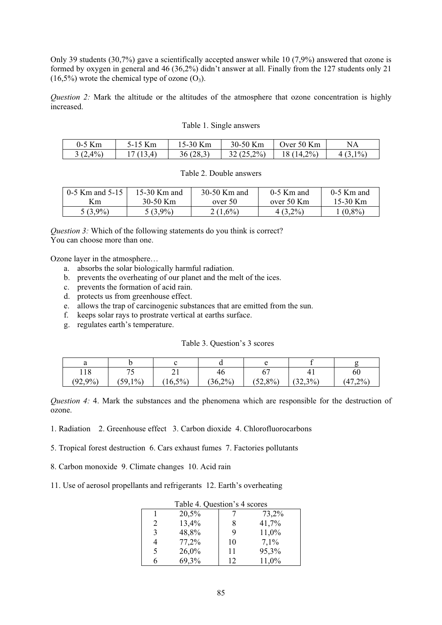Only 39 students (30,7%) gave a scientifically accepted answer while 10 (7,9%) answered that ozone is formed by oxygen in general and 46 (36,2%) didn't answer at all. Finally from the 127 students only 21  $(16,5\%)$  wrote the chemical type of ozone  $(O_3)$ .

*Question 2:* Mark the altitude or the altitudes of the atmosphere that ozone concentration is highly increased.

#### Table 1. Single answers

| 0-5 Km     | 5-15 K<br>KM. | 15-30 Km     | 30-50 Km                 | $\gamma$ Km<br>Jver 50 | NA    |
|------------|---------------|--------------|--------------------------|------------------------|-------|
| $3(2,4\%)$ | <b>TP</b>     | (28,3)<br>36 | $2\%$<br>32(25)<br>147.Z | $2\%)$<br>$\Lambda$    | (3,1% |

#### Table 2. Double answers

| 0-5 Km and 5-15 | 15-30 Km and | 30-50 Km and | $0-5$ Km and | $0-5$ Km and |
|-----------------|--------------|--------------|--------------|--------------|
| Кm              | 30-50 Km     | over 50      | over 50 Km   | 15-30 Km     |
| $5(3,9\%)$      | 5 (3.9%)     | $2(1,6\%)$   | $4(3,2\%)$   | $(0,8\%)$    |

*Question 3:* Which of the following statements do you think is correct? You can choose more than one.

Ozone layer in the atmosphere…

- a. absorbs the solar biologically harmful radiation.
- b. prevents the overheating of our planet and the melt of the ices.
- c. prevents the formation of acid rain.
- d. protects us from greenhouse effect.
- e. allows the trap of carcinogenic substances that are emitted from the sun.
- f. keeps solar rays to prostrate vertical at earths surface.
- g. regulates earth's temperature.

#### Table 3. Question's 3 scores

| 118        | コピ<br>$\overline{\phantom{a}}$ | - 1      | 46         | r 17       | 4 <sub>1</sub> | 60          |
|------------|--------------------------------|----------|------------|------------|----------------|-------------|
| $(92,9\%)$ | $(59,1\%)$                     | $16,5\%$ | $(36,2\%)$ | $(52,8\%)$ | (32,3%)        | 7,2%<br>,47 |

*Question 4:* 4. Mark the substances and the phenomena which are responsible for the destruction of ozone.

1. Radiation 2. Greenhouse effect 3. Carbon dioxide 4. Chlorofluorocarbons

5. Tropical forest destruction 6. Cars exhaust fumes 7. Factories pollutants

- 8. Carbon monoxide 9. Climate changes 10. Acid rain
- 11. Use of aerosol propellants and refrigerants 12. Earth's overheating

|   | $1$ avid $\pm$ . Question $3 \pm 300163$ |    |       |  |  |  |  |  |  |
|---|------------------------------------------|----|-------|--|--|--|--|--|--|
|   | 20,5%                                    |    | 73,2% |  |  |  |  |  |  |
| 2 | 13,4%                                    | 8  | 41,7% |  |  |  |  |  |  |
| 3 | 48,8%                                    | 9  | 11,0% |  |  |  |  |  |  |
| 4 | 77,2%                                    | 10 | 7,1%  |  |  |  |  |  |  |
| 5 | 26,0%                                    | 11 | 95,3% |  |  |  |  |  |  |
|   | 69,3%                                    | 12 | 11,0% |  |  |  |  |  |  |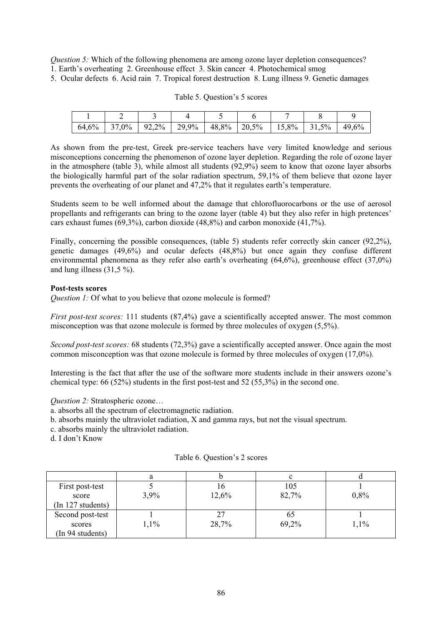*Question 5:* Which of the following phenomena are among ozone layer depletion consequences? 1. Earth's overheating 2. Greenhouse effect 3. Skin cancer 4. Photochemical smog

5. Ocular defects 6. Acid rain 7. Tropical forest destruction 8. Lung illness 9. Genetic damages

|  |  | $\sim$ $\sim$ $\sim$ |  |  |
|--|--|----------------------|--|--|

64,6% 37,0% 92,2% 29,9% 48,8% 20,5% 15,8% 31,5% 49,6%

As shown from the pre-test, Greek pre-service teachers have very limited knowledge and serious misconceptions concerning the phenomenon of ozone layer depletion. Regarding the role of ozone layer in the atmosphere (table 3), while almost all students (92,9%) seem to know that ozone layer absorbs the biologically harmful part of the solar radiation spectrum, 59,1% of them believe that ozone layer prevents the overheating of our planet and 47,2% that it regulates earth's temperature.

Students seem to be well informed about the damage that chlorofluorocarbons or the use of aerosol propellants and refrigerants can bring to the ozone layer (table 4) but they also refer in high pretences' cars exhaust fumes (69,3%), carbon dioxide (48,8%) and carbon monoxide (41,7%).

Finally, concerning the possible consequences, (table 5) students refer correctly skin cancer (92,2%), genetic damages (49,6%) and ocular defects (48,8%) but once again they confuse different environmental phenomena as they refer also earth's overheating (64,6%), greenhouse effect (37,0%) and lung illness  $(31,5\%)$ .

# **Post-tests scores**

*Question 1:* Of what to you believe that ozone molecule is formed?

*First post-test scores:* 111 students (87,4%) gave a scientifically accepted answer. The most common misconception was that ozone molecule is formed by three molecules of oxygen (5,5%).

*Second post-test scores:* 68 students (72,3%) gave a scientifically accepted answer. Once again the most common misconception was that ozone molecule is formed by three molecules of oxygen (17,0%).

Interesting is the fact that after the use of the software more students include in their answers ozone's chemical type: 66 (52%) students in the first post-test and 52 (55,3%) in the second one.

*Question 2:* Stratospheric ozone…

a. absorbs all the spectrum of electromagnetic radiation.

b. absorbs mainly the ultraviolet radiation, X and gamma rays, but not the visual spectrum.

c. absorbs mainly the ultraviolet radiation.

d. I don't Know

|                   | а    |       | c     |      |
|-------------------|------|-------|-------|------|
| First post-test   |      | 10    | 105   |      |
| score             | 3,9% | 12,6% | 82,7% | 0,8% |
| (In 127 students) |      |       |       |      |
| Second post-test  |      |       | 65    |      |
| scores            | 1,1% | 28,7% | 69,2% | 1,1% |
| (In 94 students)  |      |       |       |      |

Table 6. Question's 2 scores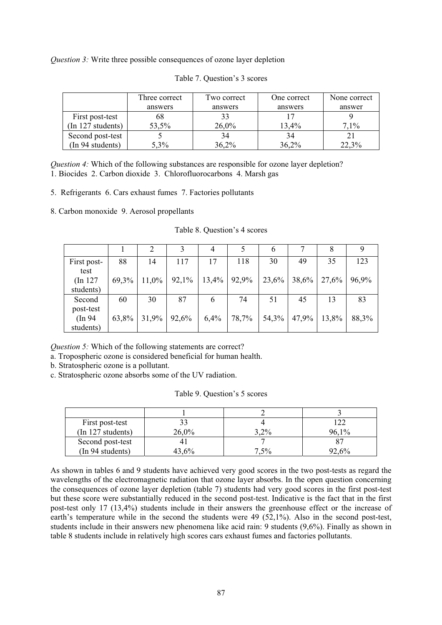*Question 3:* Write three possible consequences of ozone layer depletion

|                   | Three correct | Two correct | One correct | None correct |
|-------------------|---------------|-------------|-------------|--------------|
|                   | answers       | answers     | answers     | answer       |
| First post-test   | 68            | 33          |             |              |
| (In 127 students) | 53,5%         | 26,0%       | 13,4%       | $7,1\%$      |
| Second post-test  |               | 34          | 34          |              |
| (In 94 students)  | 5,3%          | 36,2%       | 36,2%       | 22,3%        |

Table 7. Question's 3 scores

*Question 4:* Which of the following substances are responsible for ozone layer depletion? 1. Biocides 2. Carbon dioxide 3. Chlorofluorocarbons 4. Marsh gas

5. Refrigerants 6. Cars exhaust fumes 7. Factories pollutants

8. Carbon monoxide 9. Aerosol propellants

|             |       |          |       | 4     |       | 6     |       |       |       |
|-------------|-------|----------|-------|-------|-------|-------|-------|-------|-------|
| First post- | 88    | 14       | 117   | 17    | 118   | 30    | 49    | 35    | 123   |
| test        |       |          |       |       |       |       |       |       |       |
| (In 127     | 69,3% | $11,0\%$ | 92,1% | 13,4% | 92,9% | 23,6% | 38,6% | 27,6% | 96,9% |
| students)   |       |          |       |       |       |       |       |       |       |
| Second      | 60    | 30       | 87    | 6     | 74    | 51    | 45    | 13    | 83    |
| post-test   |       |          |       |       |       |       |       |       |       |
| (In 94)     | 63,8% | 31,9%    | 92,6% | 6,4%  | 78,7% | 54,3% | 47,9% | 13,8% | 88,3% |
| students)   |       |          |       |       |       |       |       |       |       |

Table 8. Question's 4 scores

*Question 5:* Which of the following statements are correct?

a. Tropospheric ozone is considered beneficial for human health.

b. Stratospheric ozone is a pollutant.

c. Stratospheric ozone absorbs some of the UV radiation.

Table 9. Question's 5 scores

| First post-test   | 33    |      | 122   |
|-------------------|-------|------|-------|
| (In 127 students) | 26,0% | 3,2% | 96,1% |
| Second post-test  |       |      |       |
| (In 94 students)  | 43,6% | 7,5% | 92,6% |

As shown in tables 6 and 9 students have achieved very good scores in the two post-tests as regard the wavelengths of the electromagnetic radiation that ozone layer absorbs. In the open question concerning the consequences of ozone layer depletion (table 7) students had very good scores in the first post-test but these score were substantially reduced in the second post-test. Indicative is the fact that in the first post-test only 17 (13,4%) students include in their answers the greenhouse effect or the increase of earth's temperature while in the second the students were 49 (52,1%). Also in the second post-test, students include in their answers new phenomena like acid rain: 9 students (9,6%). Finally as shown in table 8 students include in relatively high scores cars exhaust fumes and factories pollutants.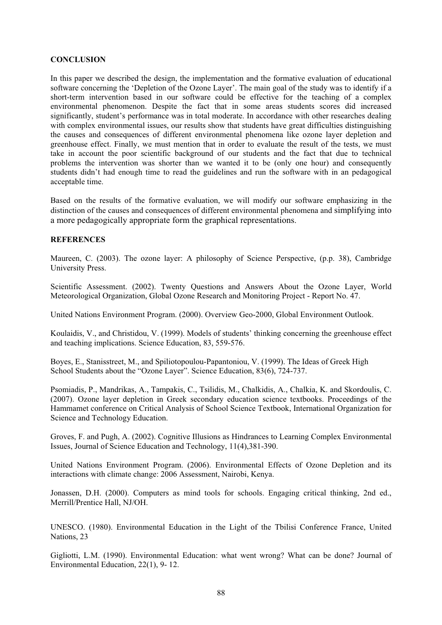### **CONCLUSION**

In this paper we described the design, the implementation and the formative evaluation of educational software concerning the 'Depletion of the Ozone Layer'. The main goal of the study was to identify if a short-term intervention based in our software could be effective for the teaching of a complex environmental phenomenon. Despite the fact that in some areas students scores did increased significantly, student's performance was in total moderate. In accordance with other researches dealing with complex environmental issues, our results show that students have great difficulties distinguishing the causes and consequences of different environmental phenomena like ozone layer depletion and greenhouse effect. Finally, we must mention that in order to evaluate the result of the tests, we must take in account the poor scientific background of our students and the fact that due to technical problems the intervention was shorter than we wanted it to be (only one hour) and consequently students didn't had enough time to read the guidelines and run the software with in an pedagogical acceptable time.

Based on the results of the formative evaluation, we will modify our software emphasizing in the distinction of the causes and consequences of different environmental phenomena and simplifying into a more pedagogically appropriate form the graphical representations.

### **REFERENCES**

Maureen, C. (2003). The ozone layer: A philosophy of Science Perspective, (p.p. 38), Cambridge University Press.

Scientific Assessment. (2002). Twenty Questions and Answers About the Ozone Layer, World Meteorological Organization, Global Ozone Research and Monitoring Project - Report No. 47.

United Nations Environment Program. (2000). Overview Geo-2000, Global Environment Outlook.

Koulaidis, V., and Christidou, V. (1999). Models of students' thinking concerning the greenhouse effect and teaching implications. Science Education, 83, 559-576.

Boyes, E., Stanisstreet, M., and Spiliotopoulou-Papantoniou, V. (1999). The Ideas of Greek High School Students about the "Ozone Layer". Science Education, 83(6), 724-737.

Psomiadis, P., Mandrikas, A., Tampakis, C., Tsilidis, M., Chalkidis, A., Chalkia, K. and Skordoulis, C. (2007). Ozone layer depletion in Greek secondary education science textbooks. Proceedings of the Hammamet conference on Critical Analysis of School Science Textbook, International Organization for Science and Technology Education.

Groves, F. and Pugh, A. (2002). Cognitive Illusions as Hindrances to Learning Complex Environmental Issues, Journal of Science Education and Technology, 11(4),381-390.

United Nations Environment Program. (2006). Environmental Effects of Ozone Depletion and its interactions with climate change: 2006 Assessment, Nairobi, Kenya.

Jonassen, D.H. (2000). Computers as mind tools for schools. Engaging critical thinking, 2nd ed., Merrill/Prentice Hall, NJ/OH.

UNESCO. (1980). Environmental Education in the Light of the Tbilisi Conference France, United Nations, 23

Gigliotti, L.M. (1990). Environmental Education: what went wrong? What can be done? Journal of Environmental Education, 22(1), 9- 12.